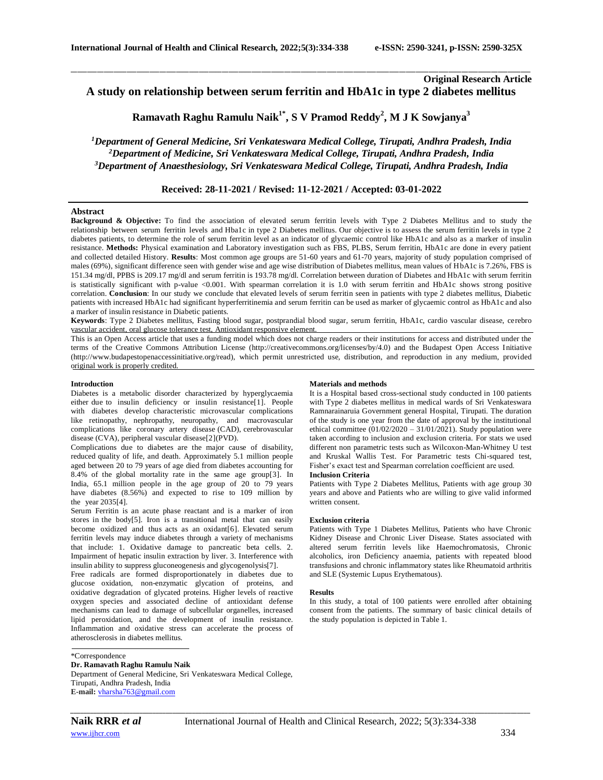# **Original Research Article A study on relationship between serum ferritin and HbA1c in type 2 diabetes mellitus**

**Ramavath Raghu Ramulu Naik1\* , S V Pramod Reddy<sup>2</sup> , M J K Sowjanya<sup>3</sup>**

\_\_\_\_\_\_\_\_\_\_\_\_\_\_\_\_\_\_\_\_\_\_\_\_\_\_\_\_\_\_\_\_\_\_\_\_\_\_\_\_\_\_\_\_\_\_\_\_\_\_\_\_\_\_\_\_\_\_\_\_\_\_\_\_\_\_\_\_\_\_\_\_\_\_\_\_\_\_\_\_\_\_\_\_\_\_\_\_\_\_\_\_\_\_\_\_\_\_\_\_\_\_\_\_\_\_\_\_\_\_\_\_\_\_\_\_\_\_\_\_\_\_\_\_\_\_\_\_\_\_\_\_\_\_\_\_\_\_\_\_

*<sup>1</sup>Department of General Medicine, Sri Venkateswara Medical College, Tirupati, Andhra Pradesh, India <sup>2</sup>Department of Medicine, Sri Venkateswara Medical College, Tirupati, Andhra Pradesh, India <sup>3</sup>Department of Anaesthesiology, Sri Venkateswara Medical College, Tirupati, Andhra Pradesh, India*

# **Received: 28-11-2021 / Revised: 11-12-2021 / Accepted: 03-01-2022**

#### **Abstract**

**Background & Objective:** To find the association of elevated serum ferritin levels with Type 2 Diabetes Mellitus and to study the relationship between serum ferritin levels and Hba1c in type 2 Diabetes mellitus. Our objective is to assess the serum ferritin levels in type 2 diabetes patients, to determine the role of serum ferritin level as an indicator of glycaemic control like HbA1c and also as a marker of insulin resistance. **Methods:** Physical examination and Laboratory investigation such as FBS, PLBS, Serum ferritin, HbA1c are done in every patient and collected detailed History. **Results**: Most common age groups are 51-60 years and 61-70 years, majority of study population comprised of males (69%), significant difference seen with gender wise and age wise distribution of Diabetes mellitus, mean values of HbA1c is 7.26%, FBS is 151.34 mg/dl, PPBS is 209.17 mg/dl and serum ferritin is 193.78 mg/dl. Correlation between duration of Diabetes and HbA1c with serum ferritin is statistically significant with p-value <0.001. With spearman correlation it is 1.0 with serum ferritin and HbA1c shows strong positive correlation. **Conclusion**: In our study we conclude that elevated levels of serum ferritin seen in patients with type 2 diabetes mellitus, Diabetic patients with increased HbA1c had significant hyperferritinemia and serum ferritin can be used as marker of glycaemic control as HbA1c and also a marker of insulin resistance in Diabetic patients.

**Keywords**: Type 2 Diabetes mellitus, Fasting blood sugar, postprandial blood sugar, serum ferritin, HbA1c, cardio vascular disease, cerebro vascular accident, oral glucose tolerance test, Antioxidant responsive element.

This is an Open Access article that uses a funding model which does not charge readers or their institutions for access and distributed under the terms of the Creative Commons Attribution License (http://creativecommons.org/licenses/by/4.0) and the Budapest Open Access Initiative (http://www.budapestopenaccessinitiative.org/read), which permit unrestricted use, distribution, and reproduction in any medium, provided original work is properly credited.

#### **Introduction**

Diabetes is a metabolic disorder characterized by hyperglycaemia either due to insulin deficiency or insulin resistance[1]. People with diabetes develop characteristic microvascular complications like retinopathy, nephropathy, neuropathy, and macrovascular complications like coronary artery disease (CAD), cerebrovascular disease (CVA), peripheral vascular disease[2](PVD).

Complications due to diabetes are the major cause of disability, reduced quality of life, and death. Approximately 5.1 million people aged between 20 to 79 years of age died from diabetes accounting for 8.4% of the global mortality rate in the same age group[3]. In India,  $65.1$  million people in the age group of  $20$  to  $79$  years have diabetes (8.56%) and expected to rise to 109 million by the year 2035[4].

Serum Ferritin is an acute phase reactant and is a marker of iron stores in the body[5]. Iron is a transitional metal that can easily become oxidized and thus acts as an oxidant[6]. Elevated serum ferritin levels may induce diabetes through a variety of mechanisms that include: 1. Oxidative damage to pancreatic beta cells. 2. Impairment of hepatic insulin extraction by liver. 3. Interference with insulin ability to suppress gluconeogenesis and glycogenolysis[7].

Free radicals are formed disproportionately in diabetes due to glucose oxidation, non-enzymatic glycation of proteins, and oxidative degradation of glycated proteins. Higher levels of reactive oxygen species and associated decline of antioxidant defense mechanisms can lead to damage of subcellular organelles, increased lipid peroxidation, and the development of insulin resistance. Inflammation and oxidative stress can accelerate the process of atherosclerosis in diabetes mellitus.

#### **Materials and methods**

It is a Hospital based cross-sectional study conducted in 100 patients with Type 2 diabetes mellitus in medical wards of Sri Venkateswara Ramnarainaruia Government general Hospital, Tirupati. The duration of the study is one year from the date of approval by the institutional ethical committee  $(01/02/2020 - 31/01/2021)$ . Study population were taken according to inclusion and exclusion criteria. For stats we used different non parametric tests such as Wilcoxon-Man-Whitney U test and Kruskal Wallis Test. For Parametric tests Chi-squared test, Fisher's exact test and Spearman correlation coefficient are used.

### **Inclusion Criteria**

Patients with Type 2 Diabetes Mellitus, Patients with age group 30 years and above and Patients who are willing to give valid informed written consent.

### **Exclusion criteria**

Patients with Type 1 Diabetes Mellitus, Patients who have Chronic Kidney Disease and Chronic Liver Disease. States associated with altered serum ferritin levels like Haemochromatosis, Chronic alcoholics, iron Deficiency anaemia, patients with repeated blood transfusions and chronic inflammatory states like Rheumatoid arthritis and SLE (Systemic Lupus Erythematous).

#### **Results**

In this study, a total of 100 patients were enrolled after obtaining consent from the patients. The summary of basic clinical details of the study population is depicted in Table 1.

### \*Correspondence

**Dr. Ramavath Raghu Ramulu Naik** Department of General Medicine, Sri Venkateswara Medical College, Tirupati, Andhra Pradesh, India **E-mail:** [vharsha763@gmail.com](mailto:vharsha763@gmail.com)

*\_\_\_\_\_\_\_\_\_\_\_\_\_\_\_\_\_\_\_\_\_\_\_\_\_\_\_\_\_\_\_\_\_\_\_\_\_\_\_\_\_\_\_\_\_\_\_\_\_\_\_\_\_\_\_\_\_\_\_\_\_\_\_\_\_\_\_\_\_\_\_\_\_\_\_\_\_\_\_\_\_\_\_\_\_\_\_\_\_\_\_\_\_\_\_\_\_\_\_\_\_\_\_\_\_\_\_\_\_\_\_\_\_\_\_\_\_\_\_\_\_\_\_\_\_\_\_\_\_\_\_\_\_\_\_\_\_\_\_\_*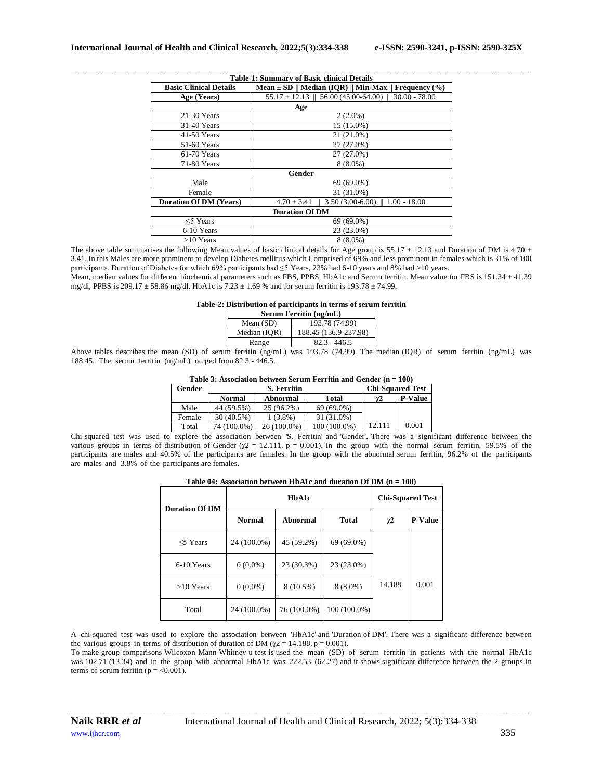|                               | <b>Table-1: Summary of Basic clinical Details</b>                         |
|-------------------------------|---------------------------------------------------------------------------|
| <b>Basic Clinical Details</b> | Mean $\pm$ SD    Median (IQR)    Min-Max    Frequency (%)                 |
| Age (Years)                   | $55.17 \pm 12.13 \parallel 56.00 (45.00 - 64.00) \parallel 30.00 - 78.00$ |
|                               | Age                                                                       |
| $21-30$ Years                 | $2(2.0\%)$                                                                |
| 31-40 Years                   | 15 (15.0%)                                                                |
| $41-50$ Years                 | 21 (21.0%)                                                                |
| 51-60 Years                   | 27 (27.0%)                                                                |
| $61-70$ Years                 | 27 (27.0%)                                                                |
| 71-80 Years                   | $8(8.0\%)$                                                                |
|                               | Gender                                                                    |
| Male                          | 69 (69.0%)                                                                |
| Female                        | 31 (31.0%)                                                                |
| <b>Duration Of DM (Years)</b> | $4.70 \pm 3.41 \pm 3.50$ (3.00-6.00) $\pm 1.00 - 18.00$                   |
|                               | <b>Duration Of DM</b>                                                     |
| $\leq$ 5 Years                | 69 (69.0%)                                                                |
| 6-10 Years                    | 23 (23.0%)                                                                |
| $>10$ Years                   | $8(8.0\%)$                                                                |

The above table summarises the following Mean values of basic clinical details for Age group is 55.17  $\pm$  12.13 and Duration of DM is 4.70  $\pm$ 3.41. In this Males are more prominent to develop Diabetes mellitus which Comprised of 69% and less prominent in females which is 31% of 100 participants. Duration of Diabetes for which 69% participants had ≤5 Years, 23% had 6-10 years and 8% had >10 years. Mean, median values for different biochemical parameters such as FBS, PPBS, HbA1c and Serum ferritin. Mean value for FBS is 151.34 ± 41.39 mg/dl, PPBS is 209.17  $\pm$  58.86 mg/dl, HbA1c is 7.23  $\pm$  1.69 % and for serum ferritin is 193.78  $\pm$  74.99.

#### **Table-2: Distribution of participants in terms of serum ferritin**

| Serum Ferritin (ng/mL) |                       |  |  |  |
|------------------------|-----------------------|--|--|--|
| Mean $(SD)$            | 193.78 (74.99)        |  |  |  |
| Median (IQR)           | 188.45 (136.9-237.98) |  |  |  |
| Range                  | $82.3 - 446.5$        |  |  |  |

Above tables describes the mean (SD) of serum ferritin (ng/mL) was 193.78 (74.99). The median (IQR) of serum ferritin (ng/mL) was 188.45. The serum ferritin (ng/mL) ranged from 82.3 - 446.5.

| Gender | <b>S. Ferritin</b> |             |                | <b>Chi-Squared Test</b> |                |
|--------|--------------------|-------------|----------------|-------------------------|----------------|
|        | <b>Normal</b>      | Abnormal    | Total          | $\chi^2$                | <b>P-Value</b> |
| Male   | 44 (59.5%)         | 25 (96.2%)  | 69 (69.0%)     |                         |                |
| Female | 30 (40.5%)         | $1(3.8\%)$  | 31 (31.0%)     |                         |                |
| Total  | 74 (100.0%)        | 26 (100.0%) | $100(100.0\%)$ | 12.111                  | 0.001          |

Chi-squared test was used to explore the association between 'S. Ferritin' and 'Gender'. There was a significant difference between the various groups in terms of distribution of Gender  $(\chi^2 = 12.111, p = 0.001)$ . In the group with the normal serum ferritin, 59.5% of the participants are males and 40.5% of the participants are females. In the group with the abnormal serum ferritin, 96.2% of the participants are males and 3.8% of the participants are females.

| Table 04: Association between HbA1c and duration Of DM $(n = 100)$ |  |
|--------------------------------------------------------------------|--|
|--------------------------------------------------------------------|--|

| <b>Duration Of DM</b> | HbA1c         |             |                | <b>Chi-Squared Test</b> |                |
|-----------------------|---------------|-------------|----------------|-------------------------|----------------|
|                       | <b>Normal</b> | Abnormal    | <b>Total</b>   | $\chi^2$                | <b>P-Value</b> |
| $\leq$ Years          | 24 (100.0%)   | 45 (59.2%)  | 69 (69.0%)     |                         |                |
| 6-10 Years            | $0(0.0\%)$    | 23 (30.3%)  | 23 (23.0%)     |                         |                |
| $>10$ Years           | $0(0.0\%)$    | 8 (10.5%)   | $8(8.0\%)$     | 14.188                  | 0.001          |
| Total                 | 24 (100.0%)   | 76 (100.0%) | $100(100.0\%)$ |                         |                |

A chi-squared test was used to explore the association between 'HbA1c' and 'Duration of DM'. There was a significant difference between the various groups in terms of distribution of duration of DM ( $\chi$ 2 = 14.188, p = 0.001).

To make group comparisons Wilcoxon-Mann-Whitney u test is used the mean (SD) of serum ferritin in patients with the normal HbA1c was 102.71 (13.34) and in the group with abnormal HbA1c was 222.53 (62.27) and it shows significant difference between the 2 groups in terms of serum ferritin ( $p = < 0.001$ ).

*\_\_\_\_\_\_\_\_\_\_\_\_\_\_\_\_\_\_\_\_\_\_\_\_\_\_\_\_\_\_\_\_\_\_\_\_\_\_\_\_\_\_\_\_\_\_\_\_\_\_\_\_\_\_\_\_\_\_\_\_\_\_\_\_\_\_\_\_\_\_\_\_\_\_\_\_\_\_\_\_\_\_\_\_\_\_\_\_\_\_\_\_\_\_\_\_\_\_\_\_\_\_\_\_\_\_\_\_\_\_\_\_\_\_\_\_\_\_\_\_\_\_\_\_\_\_\_\_\_\_\_\_\_\_\_\_\_\_\_\_*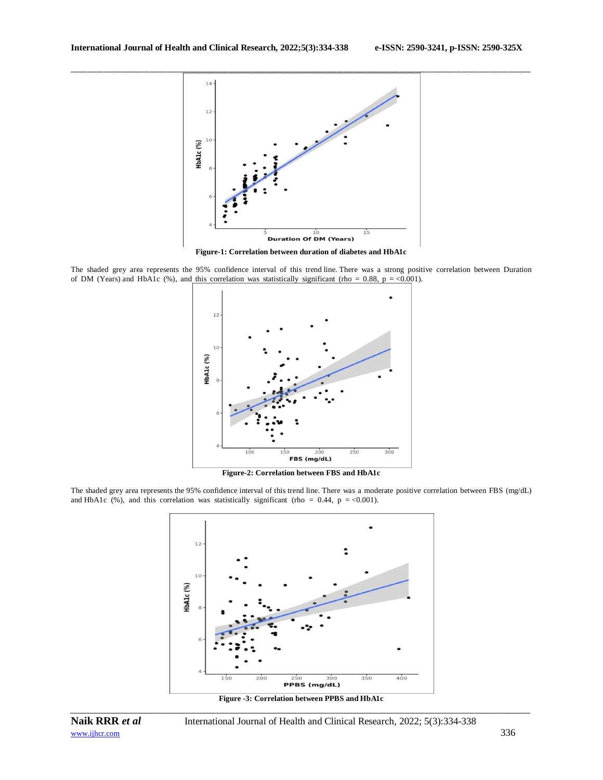

\_\_\_\_\_\_\_\_\_\_\_\_\_\_\_\_\_\_\_\_\_\_\_\_\_\_\_\_\_\_\_\_\_\_\_\_\_\_\_\_\_\_\_\_\_\_\_\_\_\_\_\_\_\_\_\_\_\_\_\_\_\_\_\_\_\_\_\_\_\_\_\_\_\_\_\_\_\_\_\_\_\_\_\_\_\_\_\_\_\_\_\_\_\_\_\_\_\_\_\_\_\_\_\_\_\_\_\_\_\_\_\_\_\_\_\_\_\_\_\_\_\_\_\_\_\_\_\_\_\_\_\_\_\_\_\_\_\_\_\_

**Figure-1: Correlation between duration of diabetes and HbA1c**

The shaded grey area represents the 95% confidence interval of this trend line. There was a strong positive correlation between Duration of DM (Years) and HbA1c (%), and this correlation was statistically significant (rho = 0.88, p = <0.001).



**Figure-2: Correlation between FBS and HbA1c**

The shaded grey area represents the 95% confidence interval of this trend line. There was a moderate positive correlation between FBS (mg/dL) and HbA1c (%), and this correlation was statistically significant (rho = 0.44, p = <0.001).



*\_\_\_\_\_\_\_\_\_\_\_\_\_\_\_\_\_\_\_\_\_\_\_\_\_\_\_\_\_\_\_\_\_\_\_\_\_\_\_\_\_\_\_\_\_\_\_\_\_\_\_\_\_\_\_\_\_\_\_\_\_\_\_\_\_\_\_\_\_\_\_\_\_\_\_\_\_\_\_\_\_\_\_\_\_\_\_\_\_\_\_\_\_\_\_\_\_\_\_\_\_\_\_\_\_\_\_\_\_\_\_\_\_\_\_\_\_\_\_\_\_\_\_\_\_\_\_\_\_\_\_\_\_\_\_\_\_\_\_\_* **Figure -3: Correlation between PPBS and HbA1c**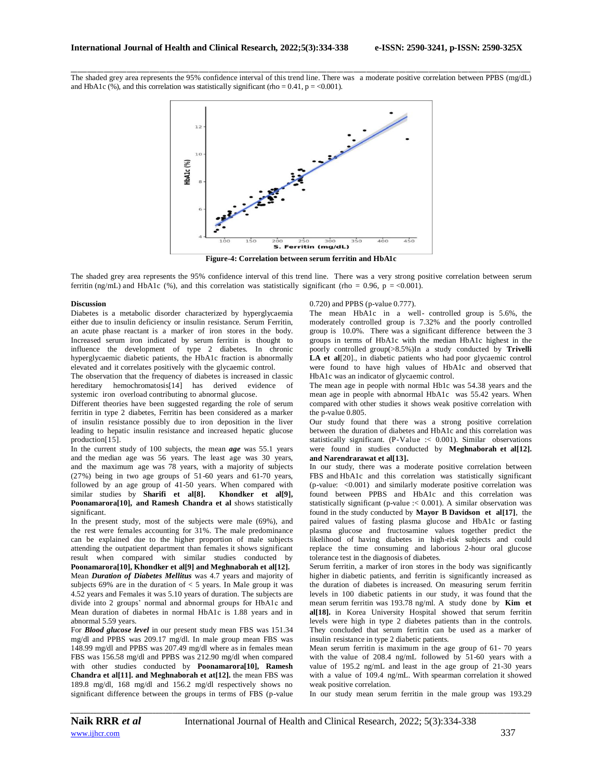\_\_\_\_\_\_\_\_\_\_\_\_\_\_\_\_\_\_\_\_\_\_\_\_\_\_\_\_\_\_\_\_\_\_\_\_\_\_\_\_\_\_\_\_\_\_\_\_\_\_\_\_\_\_\_\_\_\_\_\_\_\_\_\_\_\_\_\_\_\_\_\_\_\_\_\_\_\_\_\_\_\_\_\_\_\_\_\_\_\_\_\_\_\_\_\_\_\_\_\_\_\_\_\_\_\_\_\_\_\_\_\_\_\_\_\_\_\_\_\_\_\_\_\_\_\_\_\_\_\_\_\_\_\_\_\_\_\_\_\_ The shaded grey area represents the 95% confidence interval of this trend line. There was a moderate positive correlation between PPBS (mg/dL) and HbA1c  $\left(\% \right)$ , and this correlation was statistically significant (rho = 0.41, p = <0.001).



**Figure-4: Correlation between serum ferritin and HbA1c**

The shaded grey area represents the 95% confidence interval of this trend line. There was a very strong positive correlation between serum ferritin (ng/mL) and HbA1c (%), and this correlation was statistically significant (rho = 0.96, p = <0.001).

#### **Discussion**

Diabetes is a metabolic disorder characterized by hyperglycaemia either due to insulin deficiency or insulin resistance. Serum Ferritin, an acute phase reactant is a marker of iron stores in the body. Increased serum iron indicated by serum ferritin is thought to influence the development of type 2 diabetes. In chronic hyperglycaemic diabetic patients, the HbA1c fraction is abnormally elevated and it correlates positively with the glycaemic control.

The observation that the frequency of diabetes is increased in classic hereditary hemochromatosis[14] has derived evidence of systemic iron overload contributing to abnormal glucose.

Different theories have been suggested regarding the role of serum ferritin in type 2 diabetes, Ferritin has been considered as a marker of insulin resistance possibly due to iron deposition in the liver leading to hepatic insulin resistance and increased hepatic glucose production[15].

In the current study of 100 subjects, the mean *age* was 55.1 years and the median age was 56 years. The least age was 30 years, and the maximum age was 78 years, with a majority of subjects (27%) being in two age groups of 51-60 years and 61-70 years, followed by an age group of 41-50 years. When compared with similar studies by **Sharifi et al[8]. Khondker et al[9], Poonamarora[10], and Ramesh Chandra et al** shows statistically significant.

In the present study, most of the subjects were male (69%), and the rest were females accounting for 31%. The male predominance can be explained due to the higher proportion of male subjects attending the outpatient department than females it shows significant result when compared with similar studies conducted by **Poonamarora[10], Khondker et al[9] and Meghnaborah et al[12].** Mean *Duration of Diabetes Mellitus* was 4.7 years and majority of subjects  $69\%$  are in the duration of  $< 5$  years. In Male group it was 4.52 years and Females it was 5.10 years of duration. The subjects are divide into 2 groups' normal and abnormal groups for HbA1c and Mean duration of diabetes in normal HbA1c is 1.88 years and in abnormal 5.59 years.

For *Blood glucose level* in our present study mean FBS was 151.34 mg/dl and PPBS was 209.17 mg/dl. In male group mean FBS was 148.99 mg/dl and PPBS was 207.49 mg/dl where as in females mean FBS was 156.58 mg/dl and PPBS was 212.90 mg/dl when compared with other studies conducted by **Poonamarora[10], Ramesh Chandra et al[11]. and Meghnaborah et at[12].** the mean FBS was 189.8 mg/dl, 168 mg/dl and 156.2 mg/dl respectively shows no significant difference between the groups in terms of FBS (p-value

#### 0.720) and PPBS (p-value 0.777).

The mean HbA1c in a well- controlled group is 5.6%, the moderately controlled group is 7.32% and the poorly controlled group is 10.0%. There was a significant difference between the 3 groups in terms of HbA1c with the median HbA1c highest in the poorly controlled group(>8.5%)In a study conducted by **Trivelli LA et al**[20]., in diabetic patients who had poor glycaemic control were found to have high values of HbA1c and observed that HbA1c was an indicator of glycaemic control.

The mean age in people with normal Hb1c was 54.38 years and the mean age in people with abnormal HbA1c was 55.42 years. When compared with other studies it shows weak positive correlation with the p-value 0.805.

Our study found that there was a strong positive correlation between the duration of diabetes and HbA1c and this correlation was statistically significant. (P-Value :< 0.001). Similar observations were found in studies conducted by **Meghnaborah et al[12]. and Narendrarawat et al[13].**

In our study, there was a moderate positive correlation between FBS and HbA1c and this correlation was statistically significant (p-value: <0.001) and similarly moderate positive correlation was found between PPBS and HbA1c and this correlation was statistically significant (p-value :< 0.001). A similar observation was found in the study conducted by **Mayor B Davidson et al[17]**, the paired values of fasting plasma glucose and HbA1c or fasting plasma glucose and fructosamine values together predict the likelihood of having diabetes in high-risk subjects and could replace the time consuming and laborious 2-hour oral glucose tolerance test in the diagnosis of diabetes.

Serum ferritin, a marker of iron stores in the body was significantly higher in diabetic patients, and ferritin is significantly increased as the duration of diabetes is increased. On measuring serum ferritin levels in 100 diabetic patients in our study, it was found that the mean serum ferritin was 193.78 ng/ml. A study done by **Kim et al[18].** in Korea University Hospital showed that serum ferritin levels were high in type 2 diabetes patients than in the controls. They concluded that serum ferritin can be used as a marker of insulin resistance in type 2 diabetic patients.

Mean serum ferritin is maximum in the age group of 61- 70 years with the value of 208.4 ng/mL followed by 51-60 years with a value of 195.2 ng/mL and least in the age group of 21-30 years with a value of 109.4 ng/mL. With spearman correlation it showed weak positive correlation.

In our study mean serum ferritin in the male group was 193.29

*\_\_\_\_\_\_\_\_\_\_\_\_\_\_\_\_\_\_\_\_\_\_\_\_\_\_\_\_\_\_\_\_\_\_\_\_\_\_\_\_\_\_\_\_\_\_\_\_\_\_\_\_\_\_\_\_\_\_\_\_\_\_\_\_\_\_\_\_\_\_\_\_\_\_\_\_\_\_\_\_\_\_\_\_\_\_\_\_\_\_\_\_\_\_\_\_\_\_\_\_\_\_\_\_\_\_\_\_\_\_\_\_\_\_\_\_\_\_\_\_\_\_\_\_\_\_\_\_\_\_\_\_\_\_\_\_\_\_\_\_*